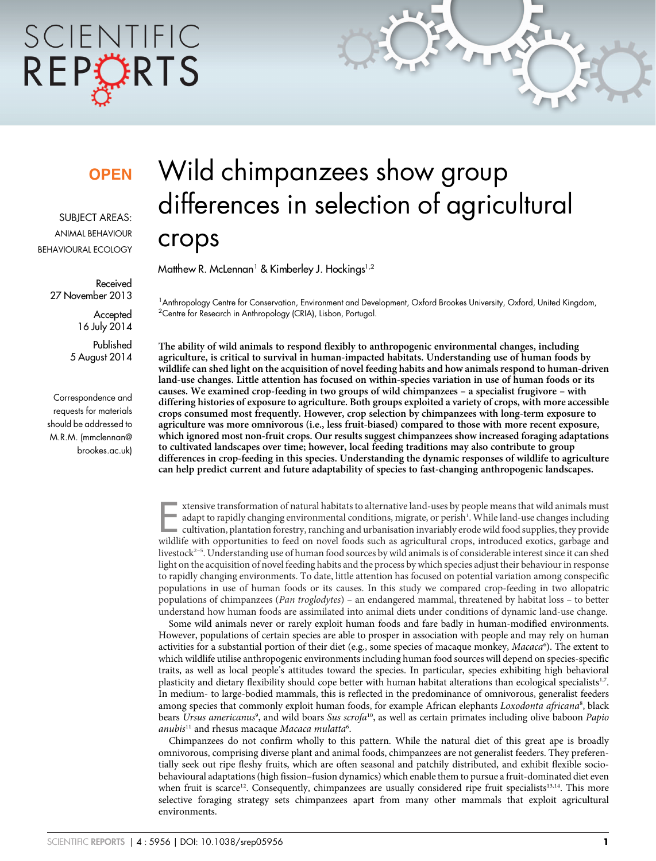# SCIENTIFIC REPORTS

### **OPEN**

SUBJECT AREAS: ANIMAL BEHAVIOUR BEHAVIOURAL ECOLOGY

> Received 27 November 2013

> > **Accepted** 16 July 2014

Published 5 August 2014

Correspondence and requests for materials should be addressed to M.R.M. [\(mmclennan@](mailto:mmclennan@brookes.ac.uk) [brookes.ac.uk\)](mailto:mmclennan@brookes.ac.uk)

## Wild chimpanzees show group differences in selection of agricultural crops

Matthew R. McLennan<sup>1</sup> & Kimberley J. Hockings<sup>1,2</sup>

1 Anthropology Centre for Conservation, Environment and Development, Oxford Brookes University, Oxford, United Kingdom, <sup>2</sup>Centre for Research in Anthropology (CRIA), Lisbon, Portugal.

The ability of wild animals to respond flexibly to anthropogenic environmental changes, including agriculture, is critical to survival in human-impacted habitats. Understanding use of human foods by wildlife can shed light on the acquisition of novel feeding habits and how animals respond to human-driven land-use changes. Little attention has focused on within-species variation in use of human foods or its causes. We examined crop-feeding in two groups of wild chimpanzees – a specialist frugivore – with differing histories of exposure to agriculture. Both groups exploited a variety of crops, with more accessible crops consumed most frequently. However, crop selection by chimpanzees with long-term exposure to agriculture was more omnivorous (i.e., less fruit-biased) compared to those with more recent exposure, which ignored most non-fruit crops. Our results suggest chimpanzees show increased foraging adaptations to cultivated landscapes over time; however, local feeding traditions may also contribute to group differences in crop-feeding in this species. Understanding the dynamic responses of wildlife to agriculture can help predict current and future adaptability of species to fast-changing anthropogenic landscapes.

xtensive transformation of natural habitats to alternative land-uses by people means that wild animals must<br>adapt to rapidly changing environmental conditions, migrate, or perish<sup>1</sup>. While land-use changes including<br>cultiv adapt to rapidly changing environmental conditions, migrate, or perish<sup>1</sup>. While land-use changes including cultivation, plantation forestry, ranching and urbanisation invariably erode wild food supplies, they provide wildlife with opportunities to feed on novel foods such as agricultural crops, introduced exotics, garbage and livestock<sup>2–5</sup>. Understanding use of human food sources by wild animals is of considerable interest since it can shed light on the acquisition of novel feeding habits and the process by which species adjust their behaviour in response to rapidly changing environments. To date, little attention has focused on potential variation among conspecific populations in use of human foods or its causes. In this study we compared crop-feeding in two allopatric populations of chimpanzees (Pan troglodytes) – an endangered mammal, threatened by habitat loss – to better understand how human foods are assimilated into animal diets under conditions of dynamic land-use change.

Some wild animals never or rarely exploit human foods and fare badly in human-modified environments. However, populations of certain species are able to prosper in association with people and may rely on human activities for a substantial portion of their diet (e.g., some species of macaque monkey, Macaca<sup>6</sup>). The extent to which wildlife utilise anthropogenic environments including human food sources will depend on species-specific traits, as well as local people's attitudes toward the species. In particular, species exhibiting high behavioral plasticity and dietary flexibility should cope better with human habitat alterations than ecological specialists<sup>1,7</sup>. In medium- to large-bodied mammals, this is reflected in the predominance of omnivorous, generalist feeders among species that commonly exploit human foods, for example African elephants Loxodonta africana<sup>8</sup>, black bears Ursus americanus<sup>9</sup>, and wild boars Sus scrofa<sup>10</sup>, as well as certain primates including olive baboon Papio anubis<sup>11</sup> and rhesus macaque Macaca mulatta<sup>6</sup>.

Chimpanzees do not confirm wholly to this pattern. While the natural diet of this great ape is broadly omnivorous, comprising diverse plant and animal foods, chimpanzees are not generalist feeders. They preferentially seek out ripe fleshy fruits, which are often seasonal and patchily distributed, and exhibit flexible sociobehavioural adaptations (high fission–fusion dynamics) which enable them to pursue a fruit-dominated diet even when fruit is scarce<sup>12</sup>. Consequently, chimpanzees are usually considered ripe fruit specialists<sup>13,14</sup>. This more selective foraging strategy sets chimpanzees apart from many other mammals that exploit agricultural environments.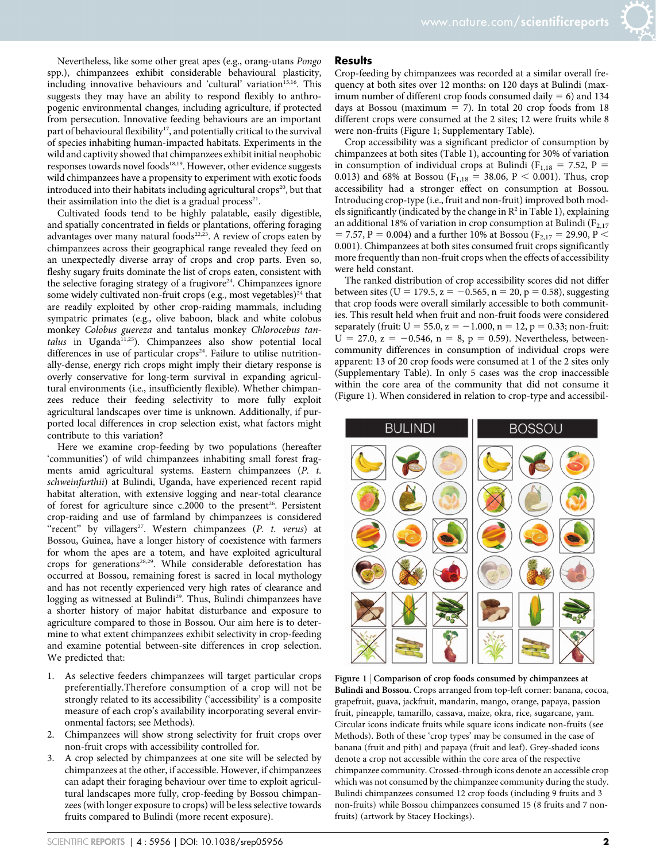Nevertheless, like some other great apes (e.g., orang-utans Pongo spp.), chimpanzees exhibit considerable behavioural plasticity, including innovative behaviours and 'cultural' variation<sup>15,16</sup>. This suggests they may have an ability to respond flexibly to anthropogenic environmental changes, including agriculture, if protected from persecution. Innovative feeding behaviours are an important part of behavioural flexibility<sup>17</sup>, and potentially critical to the survival of species inhabiting human-impacted habitats. Experiments in the wild and captivity showed that chimpanzees exhibit initial neophobic responses towards novel foods<sup>18,19</sup>. However, other evidence suggests wild chimpanzees have a propensity to experiment with exotic foods introduced into their habitats including agricultural crops $20$ , but that their assimilation into the diet is a gradual process<sup>21</sup>.

Cultivated foods tend to be highly palatable, easily digestible, and spatially concentrated in fields or plantations, offering foraging advantages over many natural foods $22,23$ . A review of crops eaten by chimpanzees across their geographical range revealed they feed on an unexpectedly diverse array of crops and crop parts. Even so, fleshy sugary fruits dominate the list of crops eaten, consistent with the selective foraging strategy of a frugivore<sup>24</sup>. Chimpanzees ignore some widely cultivated non-fruit crops (e.g., most vegetables) $24$  that are readily exploited by other crop-raiding mammals, including sympatric primates (e.g., olive baboon, black and white colobus monkey Colobus guereza and tantalus monkey Chlorocebus tan $talus$  in Uganda<sup>11,25</sup>). Chimpanzees also show potential local differences in use of particular crops<sup>24</sup>. Failure to utilise nutritionally-dense, energy rich crops might imply their dietary response is overly conservative for long-term survival in expanding agricultural environments (i.e., insufficiently flexible). Whether chimpanzees reduce their feeding selectivity to more fully exploit agricultural landscapes over time is unknown. Additionally, if purported local differences in crop selection exist, what factors might contribute to this variation?

Here we examine crop-feeding by two populations (hereafter 'communities') of wild chimpanzees inhabiting small forest fragments amid agricultural systems. Eastern chimpanzees (P. t. schweinfurthii) at Bulindi, Uganda, have experienced recent rapid habitat alteration, with extensive logging and near-total clearance of forest for agriculture since  $c.2000$  to the present<sup>26</sup>. Persistent crop-raiding and use of farmland by chimpanzees is considered "recent" by villagers<sup>27</sup>. Western chimpanzees (P. t. verus) at Bossou, Guinea, have a longer history of coexistence with farmers for whom the apes are a totem, and have exploited agricultural crops for generations<sup>28,29</sup>. While considerable deforestation has occurred at Bossou, remaining forest is sacred in local mythology and has not recently experienced very high rates of clearance and logging as witnessed at Bulindi<sup>29</sup>. Thus, Bulindi chimpanzees have a shorter history of major habitat disturbance and exposure to agriculture compared to those in Bossou. Our aim here is to determine to what extent chimpanzees exhibit selectivity in crop-feeding and examine potential between-site differences in crop selection. We predicted that:

- 1. As selective feeders chimpanzees will target particular crops preferentially.Therefore consumption of a crop will not be strongly related to its accessibility ('accessibility' is a composite measure of each crop's availability incorporating several environmental factors; see Methods).
- 2. Chimpanzees will show strong selectivity for fruit crops over non-fruit crops with accessibility controlled for.
- 3. A crop selected by chimpanzees at one site will be selected by chimpanzees at the other, if accessible. However, if chimpanzees can adapt their foraging behaviour over time to exploit agricultural landscapes more fully, crop-feeding by Bossou chimpanzees (with longer exposure to crops) will be less selective towards fruits compared to Bulindi (more recent exposure).

#### **Results**

Crop-feeding by chimpanzees was recorded at a similar overall frequency at both sites over 12 months: on 120 days at Bulindi (maximum number of different crop foods consumed daily  $= 6$ ) and 134 days at Bossou (maximum  $= 7$ ). In total 20 crop foods from 18 different crops were consumed at the 2 sites; 12 were fruits while 8 were non-fruits (Figure 1; Supplementary Table).

Crop accessibility was a significant predictor of consumption by chimpanzees at both sites (Table 1), accounting for 30% of variation in consumption of individual crops at Bulindi ( $F_{1,18} = 7.52$ , P = 0.013) and 68% at Bossou ( $F_{1,18} = 38.06$ , P < 0.001). Thus, crop accessibility had a stronger effect on consumption at Bossou. Introducing crop-type (i.e., fruit and non-fruit) improved both models significantly (indicated by the change in  $\mathbb{R}^2$  in Table 1), explaining an additional 18% of variation in crop consumption at Bulindi ( $F_{2,17}$ ) = 7.57, P = 0.004) and a further 10% at Bossou (F<sub>2,17</sub> = 29.90, P < 0.001). Chimpanzees at both sites consumed fruit crops significantly more frequently than non-fruit crops when the effects of accessibility were held constant.

The ranked distribution of crop accessibility scores did not differ between sites (U = 179.5, z = -0.565, n = 20, p = 0.58), suggesting that crop foods were overall similarly accessible to both communities. This result held when fruit and non-fruit foods were considered separately (fruit:  $U = 55.0$ ,  $z = -1.000$ ,  $n = 12$ ,  $p = 0.33$ ; non-fruit:  $U = 27.0, z = -0.546, n = 8, p = 0.59$ . Nevertheless, betweencommunity differences in consumption of individual crops were apparent: 13 of 20 crop foods were consumed at 1 of the 2 sites only (Supplementary Table). In only 5 cases was the crop inaccessible within the core area of the community that did not consume it (Figure 1). When considered in relation to crop-type and accessibil-



Figure 1 | Comparison of crop foods consumed by chimpanzees at Bulindi and Bossou. Crops arranged from top-left corner: banana, cocoa, grapefruit, guava, jackfruit, mandarin, mango, orange, papaya, passion fruit, pineapple, tamarillo, cassava, maize, okra, rice, sugarcane, yam. Circular icons indicate fruits while square icons indicate non-fruits (see Methods). Both of these 'crop types' may be consumed in the case of banana (fruit and pith) and papaya (fruit and leaf). Grey-shaded icons denote a crop not accessible within the core area of the respective chimpanzee community. Crossed-through icons denote an accessible crop which was not consumed by the chimpanzee community during the study. Bulindi chimpanzees consumed 12 crop foods (including 9 fruits and 3 non-fruits) while Bossou chimpanzees consumed 15 (8 fruits and 7 nonfruits) (artwork by Stacey Hockings).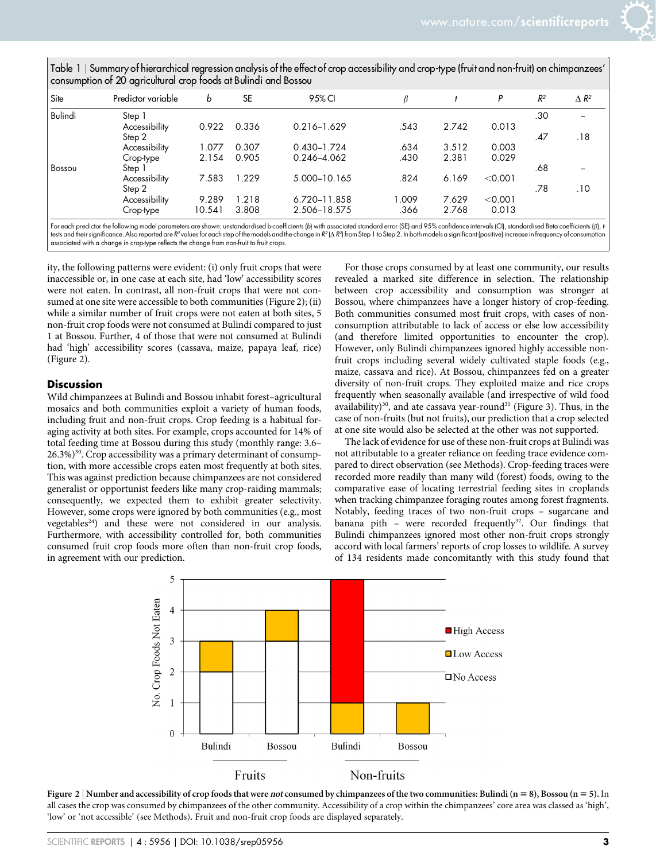Table 1 <sup>|</sup> Summary of hierarchical regression analysis of the effect of crop accessibility and crop-type (fruit and non-fruit) on chimpanzees' consumption of 20 agricultural crop foods at Bulindi and Bossou

| Site           | Predictor variable | b      | <b>SE</b> | 95% CI          | β     |       | P       | $R^2$ | $\Delta R^2$ |
|----------------|--------------------|--------|-----------|-----------------|-------|-------|---------|-------|--------------|
| <b>Bulindi</b> | Step 1             |        |           |                 |       |       |         | .30   |              |
|                | Accessibility      | 0.922  | 0.336     | $0.216 - 1.629$ | .543  | 2.742 | 0.013   |       |              |
|                | Step 2             |        |           |                 |       |       |         | .47   | .18          |
|                | Accessibility      | 1.077  | 0.307     | $0.430 - 1.724$ | .634  | 3.512 | 0.003   |       |              |
|                | Crop-type          | 2.154  | 0.905     | 0.246-4.062     | .430  | 2.381 | 0.029   |       |              |
| Bossou         | Step 1             |        |           |                 |       |       |         | .68   |              |
|                | Accessibility      | 7.583  | 1.229     | 5.000-10.165    | .824  | 6.169 | < 0.001 |       |              |
|                | Step 2             |        |           |                 |       |       |         | .78   | .10          |
|                | Accessibility      | 9.289  | 1.218     | 6.720-11.858    | l.009 | 7.629 | < 0.001 |       |              |
|                | Crop-type          | 10.541 | 3.808     | 2.506-18.575    | .366  | 2.768 | 0.013   |       |              |

For each predictor the following model parameters are shown: unstandardised b-coefficients (b) with associated standard error (SE) and 95% confidence intervals (CI), standardised Beta coefficients ( $\beta$ ),  $t$ tests and their significance. Also reported are  $R^2$ values for each step of the models and the change in  $R^2(\Delta R^2)$  from Step 1 to Step 2 . In both models a significant (positive) increase in trequency of consumption associated with a change in crop-type reflects the change from non-fruit to fruit crops.

ity, the following patterns were evident: (i) only fruit crops that were inaccessible or, in one case at each site, had 'low' accessibility scores were not eaten. In contrast, all non-fruit crops that were not consumed at one site were accessible to both communities (Figure 2); (ii) while a similar number of fruit crops were not eaten at both sites, 5 non-fruit crop foods were not consumed at Bulindi compared to just 1 at Bossou. Further, 4 of those that were not consumed at Bulindi had 'high' accessibility scores (cassava, maize, papaya leaf, rice) (Figure 2).

#### Discussion

Wild chimpanzees at Bulindi and Bossou inhabit forest–agricultural mosaics and both communities exploit a variety of human foods, including fruit and non-fruit crops. Crop feeding is a habitual foraging activity at both sites. For example, crops accounted for 14% of total feeding time at Bossou during this study (monthly range: 3.6– 26.3%)<sup>30</sup>. Crop accessibility was a primary determinant of consumption, with more accessible crops eaten most frequently at both sites. This was against prediction because chimpanzees are not considered generalist or opportunist feeders like many crop-raiding mammals; consequently, we expected them to exhibit greater selectivity. However, some crops were ignored by both communities (e.g., most vegetables<sup>24</sup>) and these were not considered in our analysis. Furthermore, with accessibility controlled for, both communities consumed fruit crop foods more often than non-fruit crop foods, in agreement with our prediction.

For those crops consumed by at least one community, our results revealed a marked site difference in selection. The relationship between crop accessibility and consumption was stronger at Bossou, where chimpanzees have a longer history of crop-feeding. Both communities consumed most fruit crops, with cases of nonconsumption attributable to lack of access or else low accessibility (and therefore limited opportunities to encounter the crop). However, only Bulindi chimpanzees ignored highly accessible nonfruit crops including several widely cultivated staple foods (e.g., maize, cassava and rice). At Bossou, chimpanzees fed on a greater diversity of non-fruit crops. They exploited maize and rice crops frequently when seasonally available (and irrespective of wild food availability)<sup>30</sup>, and ate cassava year-round<sup>31</sup> (Figure 3). Thus, in the case of non-fruits (but not fruits), our prediction that a crop selected at one site would also be selected at the other was not supported.

The lack of evidence for use of these non-fruit crops at Bulindi was not attributable to a greater reliance on feeding trace evidence compared to direct observation (see Methods). Crop-feeding traces were recorded more readily than many wild (forest) foods, owing to the comparative ease of locating terrestrial feeding sites in croplands when tracking chimpanzee foraging routes among forest fragments. Notably, feeding traces of two non-fruit crops – sugarcane and banana pith - were recorded frequently<sup>32</sup>. Our findings that Bulindi chimpanzees ignored most other non-fruit crops strongly accord with local farmers' reports of crop losses to wildlife. A survey of 134 residents made concomitantly with this study found that



Figure 2 | Number and accessibility of crop foods that were not consumed by chimpanzees of the two communities: Bulindi (n = 8), Bossou (n = 5). In all cases the crop was consumed by chimpanzees of the other community. Accessibility of a crop within the chimpanzees' core area was classed as 'high', 'low' or 'not accessible' (see Methods). Fruit and non-fruit crop foods are displayed separately.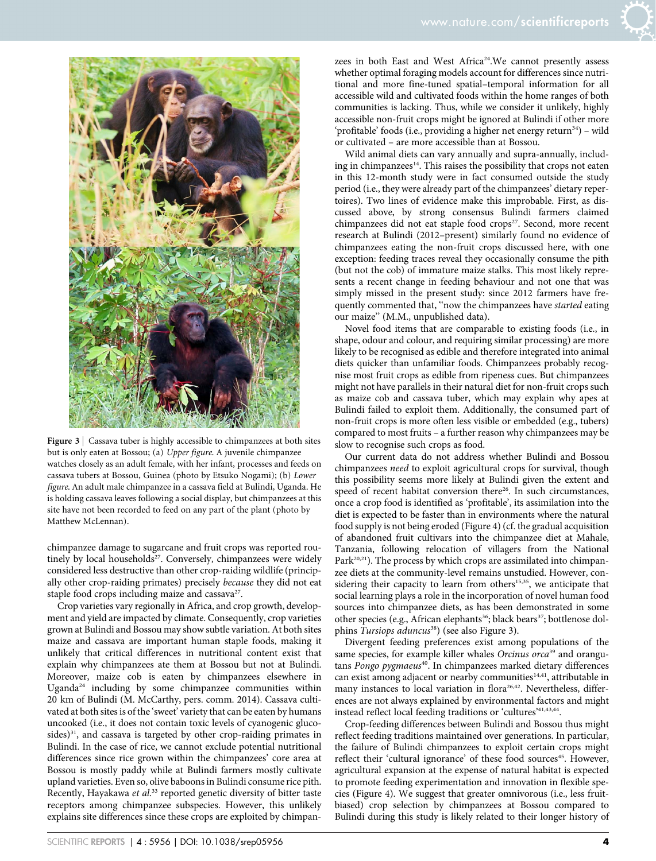

Figure 3 | Cassava tuber is highly accessible to chimpanzees at both sites but is only eaten at Bossou; (a) Upper figure. A juvenile chimpanzee watches closely as an adult female, with her infant, processes and feeds on cassava tubers at Bossou, Guinea (photo by Etsuko Nogami); (b) Lower figure. An adult male chimpanzee in a cassava field at Bulindi, Uganda. He is holding cassava leaves following a social display, but chimpanzees at this site have not been recorded to feed on any part of the plant (photo by Matthew McLennan).

chimpanzee damage to sugarcane and fruit crops was reported routinely by local households<sup>27</sup>. Conversely, chimpanzees were widely considered less destructive than other crop-raiding wildlife (principally other crop-raiding primates) precisely because they did not eat staple food crops including maize and cassava<sup>27</sup>.

Crop varieties vary regionally in Africa, and crop growth, development and yield are impacted by climate. Consequently, crop varieties grown at Bulindi and Bossou may show subtle variation. At both sites maize and cassava are important human staple foods, making it unlikely that critical differences in nutritional content exist that explain why chimpanzees ate them at Bossou but not at Bulindi. Moreover, maize cob is eaten by chimpanzees elsewhere in Uganda<sup>24</sup> including by some chimpanzee communities within 20 km of Bulindi (M. McCarthy, pers. comm. 2014). Cassava cultivated at both sites is of the 'sweet' variety that can be eaten by humans uncooked (i.e., it does not contain toxic levels of cyanogenic glucosides) $31$ , and cassava is targeted by other crop-raiding primates in Bulindi. In the case of rice, we cannot exclude potential nutritional differences since rice grown within the chimpanzees' core area at Bossou is mostly paddy while at Bulindi farmers mostly cultivate upland varieties. Even so, olive baboons in Bulindi consume rice pith. Recently, Hayakawa et al.<sup>33</sup> reported genetic diversity of bitter taste receptors among chimpanzee subspecies. However, this unlikely explains site differences since these crops are exploited by chimpanzees in both East and West Africa<sup>24</sup>. We cannot presently assess whether optimal foraging models account for differences since nutritional and more fine-tuned spatial–temporal information for all accessible wild and cultivated foods within the home ranges of both communities is lacking. Thus, while we consider it unlikely, highly accessible non-fruit crops might be ignored at Bulindi if other more 'profitable' foods (i.e., providing a higher net energy return $34$ ) – wild or cultivated – are more accessible than at Bossou.

Wild animal diets can vary annually and supra-annually, including in chimpanzees<sup>14</sup>. This raises the possibility that crops not eaten in this 12-month study were in fact consumed outside the study period (i.e., they were already part of the chimpanzees' dietary repertoires). Two lines of evidence make this improbable. First, as discussed above, by strong consensus Bulindi farmers claimed chimpanzees did not eat staple food crops<sup>27</sup>. Second, more recent research at Bulindi (2012–present) similarly found no evidence of chimpanzees eating the non-fruit crops discussed here, with one exception: feeding traces reveal they occasionally consume the pith (but not the cob) of immature maize stalks. This most likely represents a recent change in feeding behaviour and not one that was simply missed in the present study: since 2012 farmers have frequently commented that, ''now the chimpanzees have started eating our maize'' (M.M., unpublished data).

Novel food items that are comparable to existing foods (i.e., in shape, odour and colour, and requiring similar processing) are more likely to be recognised as edible and therefore integrated into animal diets quicker than unfamiliar foods. Chimpanzees probably recognise most fruit crops as edible from ripeness cues. But chimpanzees might not have parallels in their natural diet for non-fruit crops such as maize cob and cassava tuber, which may explain why apes at Bulindi failed to exploit them. Additionally, the consumed part of non-fruit crops is more often less visible or embedded (e.g., tubers) compared to most fruits – a further reason why chimpanzees may be slow to recognise such crops as food.

Our current data do not address whether Bulindi and Bossou chimpanzees need to exploit agricultural crops for survival, though this possibility seems more likely at Bulindi given the extent and speed of recent habitat conversion there<sup>26</sup>. In such circumstances, once a crop food is identified as 'profitable', its assimilation into the diet is expected to be faster than in environments where the natural food supply is not being eroded (Figure 4) (cf. the gradual acquisition of abandoned fruit cultivars into the chimpanzee diet at Mahale, Tanzania, following relocation of villagers from the National Park $^{20,21}$ ). The process by which crops are assimilated into chimpanzee diets at the community-level remains unstudied. However, considering their capacity to learn from others<sup>15,35</sup>, we anticipate that social learning plays a role in the incorporation of novel human food sources into chimpanzee diets, as has been demonstrated in some other species (e.g., African elephants<sup>36</sup>; black bears<sup>37</sup>; bottlenose dolphins Tursiops aduncus<sup>38</sup>) (see also Figure 3).

Divergent feeding preferences exist among populations of the same species, for example killer whales Orcinus orca<sup>39</sup> and orangutans Pongo pygmaeus<sup>40</sup>. In chimpanzees marked dietary differences can exist among adjacent or nearby communities<sup>14,41</sup>, attributable in many instances to local variation in flora<sup>26,42</sup>. Nevertheless, differences are not always explained by environmental factors and might instead reflect local feeding traditions or 'cultures'41,43,44.

Crop-feeding differences between Bulindi and Bossou thus might reflect feeding traditions maintained over generations. In particular, the failure of Bulindi chimpanzees to exploit certain crops might reflect their 'cultural ignorance' of these food sources<sup>45</sup>. However, agricultural expansion at the expense of natural habitat is expected to promote feeding experimentation and innovation in flexible species (Figure 4). We suggest that greater omnivorous (i.e., less fruitbiased) crop selection by chimpanzees at Bossou compared to Bulindi during this study is likely related to their longer history of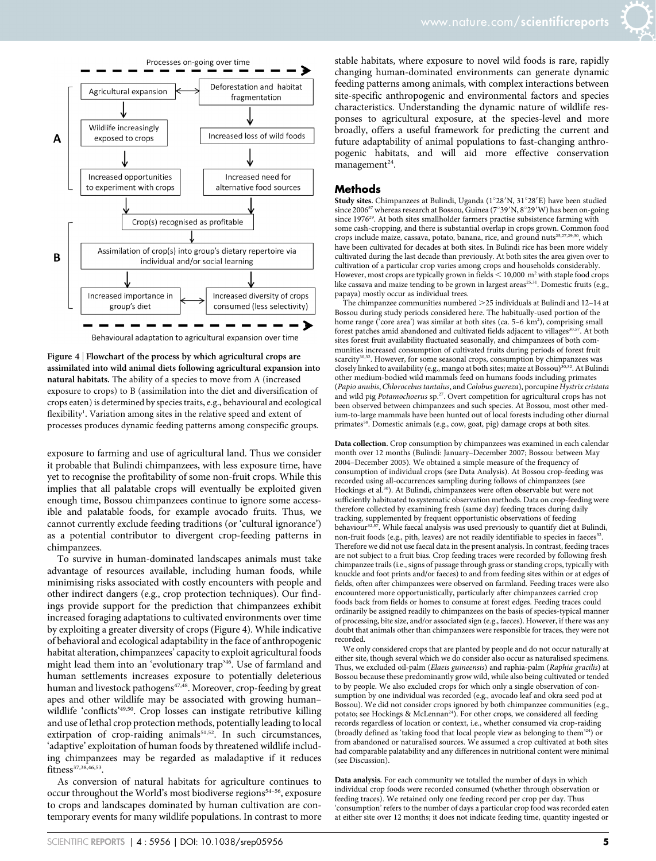

Figure 4 <sup>|</sup> Flowchart of the process by which agricultural crops are assimilated into wild animal diets following agricultural expansion into natural habitats. The ability of a species to move from A (increased exposure to crops) to B (assimilation into the diet and diversification of crops eaten) is determined by species traits, e.g., behavioural and ecological flexibility<sup>1</sup>. Variation among sites in the relative speed and extent of processes produces dynamic feeding patterns among conspecific groups.

exposure to farming and use of agricultural land. Thus we consider it probable that Bulindi chimpanzees, with less exposure time, have yet to recognise the profitability of some non-fruit crops. While this implies that all palatable crops will eventually be exploited given enough time, Bossou chimpanzees continue to ignore some accessible and palatable foods, for example avocado fruits. Thus, we cannot currently exclude feeding traditions (or 'cultural ignorance') as a potential contributor to divergent crop-feeding patterns in chimpanzees.

To survive in human-dominated landscapes animals must take advantage of resources available, including human foods, while minimising risks associated with costly encounters with people and other indirect dangers (e.g., crop protection techniques). Our findings provide support for the prediction that chimpanzees exhibit increased foraging adaptations to cultivated environments over time by exploiting a greater diversity of crops (Figure 4). While indicative of behavioral and ecological adaptability in the face of anthropogenic habitat alteration, chimpanzees' capacity to exploit agricultural foods might lead them into an 'evolutionary trap'46. Use of farmland and human settlements increases exposure to potentially deleterious human and livestock pathogens<sup>47,48</sup>. Moreover, crop-feeding by great apes and other wildlife may be associated with growing human– wildlife 'conflicts'<sup>49,50</sup>. Crop losses can instigate retributive killing and use of lethal crop protection methods, potentially leading to local extirpation of crop-raiding animals<sup>51,52</sup>. In such circumstances, 'adaptive' exploitation of human foods by threatened wildlife including chimpanzees may be regarded as maladaptive if it reduces fitness37,38,46,53.

As conversion of natural habitats for agriculture continues to occur throughout the World's most biodiverse regions<sup>54-56</sup>, exposure to crops and landscapes dominated by human cultivation are contemporary events for many wildlife populations. In contrast to more stable habitats, where exposure to novel wild foods is rare, rapidly changing human-dominated environments can generate dynamic feeding patterns among animals, with complex interactions between site-specific anthropogenic and environmental factors and species characteristics. Understanding the dynamic nature of wildlife responses to agricultural exposure, at the species-level and more broadly, offers a useful framework for predicting the current and future adaptability of animal populations to fast-changing anthropogenic habitats, and will aid more effective conservation management<sup>24</sup>.

#### **Methods**

Study sites. Chimpanzees at Bulindi, Uganda (1°28'N, 31°28'E) have been studied since 2006<sup>57</sup> whereas research at Bossou, Guinea ( $7^{\circ}39'N$ ,  $8^{\circ}29'W$ ) has been on-going since 1976<sup>29</sup>. At both sites smallholder farmers practise subsistence farming with some cash-cropping, and there is substantial overlap in crops grown. Common food crops include maize, cassava, potato, banana, rice, and ground nuts<sup>25,27,29,30</sup>, which have been cultivated for decades at both sites. In Bulindi rice has been more widely cultivated during the last decade than previously. At both sites the area given over to cultivation of a particular crop varies among crops and households considerably. However, most crops are typically grown in fields  $<$  10,000 m<sup>2</sup> with staple food crops like cassava and maize tending to be grown in largest areas<sup>25,31</sup>. Domestic fruits (e.g., papaya) mostly occur as individual trees.

The chimpanzee communities numbered  $>$  25 individuals at Bulindi and 12–14 at Bossou during study periods considered here. The habitually-used portion of the home range ('core area') was similar at both sites (ca. 5–6 km<sup>2</sup>), comprising small forest patches amid abandoned and cultivated fields adjacent to villages $^{30,57}$ . At both sites forest fruit availability fluctuated seasonally, and chimpanzees of both communities increased consumption of cultivated fruits during periods of forest fruit scarcity<sup>30,32</sup>. However, for some seasonal crops, consumption by chimpanzees was closely linked to availability (e.g., mango at both sites; maize at Bossou)<sup>30,32</sup>. At Bulindi other medium-bodied wild mammals feed on humans foods including primates (Papio anubis, Chlorocebus tantalus, and Colobus guereza), porcupine Hystrix cristata and wild pig Potamochoerus sp.<sup>27</sup>. Overt competition for agricultural crops has not been observed between chimpanzees and such species. At Bossou, most other medium-to-large mammals have been hunted out of local forests including other diurnal primates<sup>58</sup>. Domestic animals (e.g., cow, goat, pig) damage crops at both sites.

Data collection. Crop consumption by chimpanzees was examined in each calendar month over 12 months (Bulindi: January–December 2007; Bossou: between May 2004–December 2005). We obtained a simple measure of the frequency of consumption of individual crops (see Data Analysis). At Bossou crop-feeding was recorded using all-occurrences sampling during follows of chimpanzees (see Hockings et al.<sup>30</sup>). At Bulindi, chimpanzees were often observable but were not sufficiently habituated to systematic observation methods. Data on crop-feeding were therefore collected by examining fresh (same day) feeding traces during daily tracking, supplemented by frequent opportunistic observations of feeding<br>behaviour<sup>32,57</sup>. While faecal analysis was used previously to quantify diet at Bulindi, non-fruit foods (e.g., pith, leaves) are not readily identifiable to species in faeces<sup>32</sup>. Therefore we did not use faecal data in the present analysis. In contrast, feeding traces are not subject to a fruit bias. Crop feeding traces were recorded by following fresh chimpanzee trails (i.e., signs of passage through grass or standing crops, typically with knuckle and foot prints and/or faeces) to and from feeding sites within or at edges of fields, often after chimpanzees were observed on farmland. Feeding traces were also encountered more opportunistically, particularly after chimpanzees carried crop foods back from fields or homes to consume at forest edges. Feeding traces could ordinarily be assigned readily to chimpanzees on the basis of species-typical manner of processing, bite size, and/or associated sign (e.g., faeces). However, if there was any doubt that animals other than chimpanzees were responsible for traces, they were not recorded.

We only considered crops that are planted by people and do not occur naturally at either site, though several which we do consider also occur as naturalised specimens. Thus, we excluded oil-palm (Elaeis guineensis) and raphia-palm (Raphia gracilis) at Bossou because these predominantly grow wild, while also being cultivated or tended to by people. We also excluded crops for which only a single observation of consumption by one individual was recorded (e.g., avocado leaf and okra seed pod at Bossou). We did not consider crops ignored by both chimpanzee communities (e.g., potato; see Hockings & McLennan<sup>24</sup>). For other crops, we considered all feeding records regardless of location or context, i.e., whether consumed via crop-raiding (broadly defined as 'taking food that local people view as belonging to them'24) or from abandoned or naturalised sources. We assumed a crop cultivated at both sites had comparable palatability and any differences in nutritional content were minimal (see Discussion).

Data analysis. For each community we totalled the number of days in which individual crop foods were recorded consumed (whether through observation or feeding traces). We retained only one feeding record per crop per day. Thus 'consumption' refers to the number of days a particular crop food was recorded eaten at either site over 12 months; it does not indicate feeding time, quantity ingested or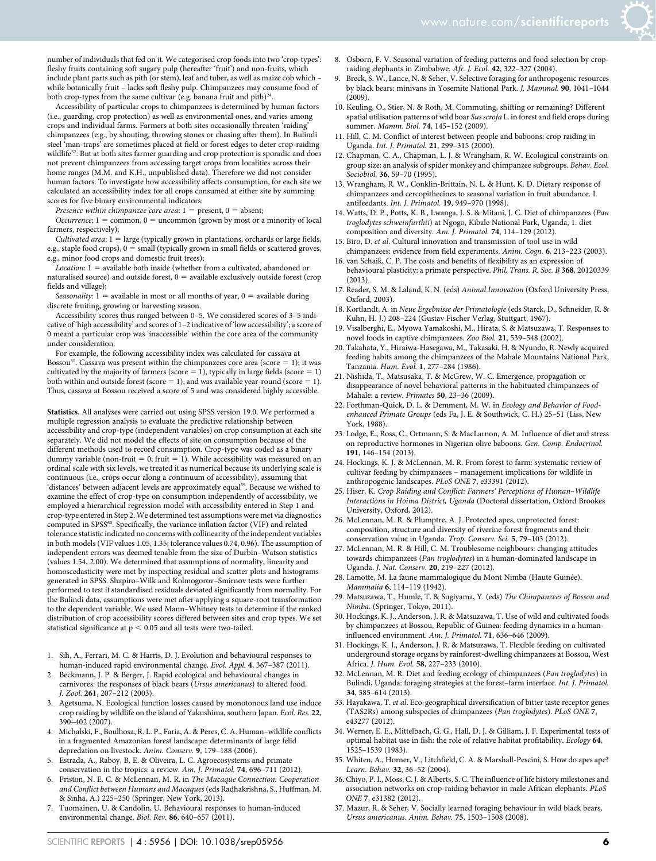

number of individuals that fed on it. We categorised crop foods into two 'crop-types': fleshy fruits containing soft sugary pulp (hereafter 'fruit') and non-fruits, which include plant parts such as pith (or stem), leaf and tuber, as well as maize cob which – while botanically fruit – lacks soft fleshy pulp. Chimpanzees may consume food of both crop-types from the same cultivar (e.g. banana fruit and pith) $^{24}$ 

Accessibility of particular crops to chimpanzees is determined by human factors (i.e., guarding, crop protection) as well as environmental ones, and varies among crops and individual farms. Farmers at both sites occasionally threaten 'raiding' chimpanzees (e.g., by shouting, throwing stones or chasing after them). In Bulindi steel 'man-traps' are sometimes placed at field or forest edges to deter crop-raiding wildlife<sup>52</sup>. But at both sites farmer guarding and crop protection is sporadic and does not prevent chimpanzees from accessing target crops from localities across their home ranges (M.M. and K.H., unpublished data). Therefore we did not consider human factors. To investigate how accessibility affects consumption, for each site we calculated an accessibility index for all crops consumed at either site by summing scores for five binary environmental indicators:

Presence within chimpanzee core area:  $1 =$  present,  $0 =$  absent;

Occurrence:  $1 =$  common,  $0 =$  uncommon (grown by most or a minority of local farmers, respectively);

Cultivated area:  $1 = \text{large}$  (typically grown in plantations, orchards or large fields, e.g., staple food crops),  $0 =$  small (typically grown in small fields or scattered groves, e.g., minor food crops and domestic fruit trees);

Location:  $1 =$  available both inside (whether from a cultivated, abandoned or naturalised source) and outside forest,  $0 =$  available exclusively outside forest (crop fields and village);

Seasonality:  $1 =$  available in most or all months of year,  $0 =$  available during discrete fruiting, growing or harvesting season.

Accessibility scores thus ranged between 0–5. We considered scores of 3–5 indicative of 'high accessibility' and scores of 1–2 indicative of 'low accessibility'; a score of 0 meant a particular crop was 'inaccessible' within the core area of the community under consideration.

For example, the following accessibility index was calculated for cassava at Bossou<sup>31</sup>. Cassava was present within the chimpanzees core area (score  $= 1$ ); it was cultivated by the majority of farmers (score  $= 1$ ), typically in large fields (score  $= 1$ ) both within and outside forest (score  $= 1$ ), and was available year-round (score  $= 1$ ). Thus, cassava at Bossou received a score of 5 and was considered highly accessible.

Statistics. All analyses were carried out using SPSS version 19.0. We performed a multiple regression analysis to evaluate the predictive relationship between accessibility and crop-type (independent variables) on crop consumption at each site separately. We did not model the effects of site on consumption because of the different methods used to record consumption. Crop-type was coded as a binary dummy variable (non-fruit = 0; fruit = 1). While accessibility was measured on an ordinal scale with six levels, we treated it as numerical because its underlying scale is continuous (i.e., crops occur along a continuum of accessibility), assuming that 'distances' between adjacent levels are approximately equal<sup>59</sup>. Because we wished to examine the effect of crop-type on consumption independently of accessibility, we employed a hierarchical regression model with accessibility entered in Step 1 and crop-type entered in Step 2. We determined test assumptions were met via diagnostics computed in SPSS<sup>60</sup>. Specifically, the variance inflation factor (VIF) and related tolerance statistic indicated no concerns with collinearity of the independent variables in both models (VIF values 1.05, 1.35; tolerance values 0.74, 0.96). The assumption of independent errors was deemed tenable from the size of Durbin–Watson statistics (values 1.54, 2.00). We determined that assumptions of normality, linearity and homoscedasticity were met by inspecting residual and scatter plots and histograms generated in SPSS. Shapiro–Wilk and Kolmogorov–Smirnov tests were further performed to test if standardised residuals deviated significantly from normality. For the Bulindi data, assumptions were met after applying a square-root transformation to the dependent variable. We used Mann–Whitney tests to determine if the ranked distribution of crop accessibility scores differed between sites and crop types. We set statistical significance at  $p < 0.05$  and all tests were two-tailed.

- 1. Sih, A., Ferrari, M. C. & Harris, D. J. Evolution and behavioural responses to human-induced rapid environmental change. Evol. Appl. 4, 367–387 (2011).
- 2. Beckmann, J. P. & Berger, J. Rapid ecological and behavioural changes in carnivores: the responses of black bears (Ursus americanus) to altered food. J. Zool. 261, 207–212 (2003).
- 3. Agetsuma, N. Ecological function losses caused by monotonous land use induce crop raiding by wildlife on the island of Yakushima, southern Japan. Ecol. Res. 22, 390–402 (2007).
- 4. Michalski, F., Boulhosa, R. L. P., Faria, A. & Peres, C. A. Human–wildlife conflicts in a fragmented Amazonian forest landscape: determinants of large felid depredation on livestock. Anim. Conserv. 9, 179–188 (2006).
- 5. Estrada, A., Raboy, B. E. & Oliveira, L. C. Agroecosystems and primate conservation in the tropics: a review. Am. J. Primatol. 74, 696–711 (2012).
- 6. Priston, N. E. C. & McLennan, M. R. in The Macaque Connection: Cooperation and Conflict between Humans and Macaques (eds Radhakrishna, S., Huffman, M. & Sinha, A.) 225–250 (Springer, New York, 2013).
- Tuomainen, U. & Candolin, U. Behavioural responses to human-induced environmental change. Biol. Rev. 86, 640–657 (2011).
- 8. Osborn, F. V. Seasonal variation of feeding patterns and food selection by cropraiding elephants in Zimbabwe. Afr. J. Ecol. 42, 322–327 (2004).
- Breck, S. W., Lance, N. & Seher, V. Selective foraging for anthropogenic resources by black bears: minivans in Yosemite National Park. J. Mammal. 90, 1041–1044  $(2009)$ .
- 10. Keuling, O., Stier, N. & Roth, M. Commuting, shifting or remaining? Different spatial utilisation patterns of wild boar Sus scrofa L. in forest and field crops during summer. Mamm. Biol. 74, 145–152 (2009).
- 11. Hill, C. M. Conflict of interest between people and baboons: crop raiding in Uganda. Int. J. Primatol. 21, 299–315 (2000).
- 12. Chapman, C. A., Chapman, L. J. & Wrangham, R. W. Ecological constraints on group size: an analysis of spider monkey and chimpanzee subgroups. Behav. Ecol. Sociobiol. 36, 59–70 (1995).
- 13. Wrangham, R. W., Conklin-Brittain, N. L. & Hunt, K. D. Dietary response of chimpanzees and cercopithecines to seasonal variation in fruit abundance. I. antifeedants. Int. J. Primatol. 19, 949–970 (1998).
- 14. Watts, D. P., Potts, K. B., Lwanga, J. S. & Mitani, J. C. Diet of chimpanzees (Pan troglodytes schweinfurthii) at Ngogo, Kibale National Park, Uganda, 1. diet composition and diversity. Am. J. Primatol. 74, 114–129 (2012).
- 15. Biro, D. et al. Cultural innovation and transmission of tool use in wild chimpanzees: evidence from field experiments. Anim. Cogn. 6, 213–223 (2003).
- 16. van Schaik, C. P. The costs and benefits of flexibility as an expression of behavioural plasticity: a primate perspective. Phil. Trans. R. Soc. B 368, 20120339 (2013).
- 17. Reader, S. M. & Laland, K. N. (eds) Animal Innovation (Oxford University Press, Oxford, 2003).
- 18. Kortlandt, A. in Neue Ergebnisse der Primatologie (eds Starck, D., Schneider, R. & Kuhn, H. J.) 208–224 (Gustav Fischer Verlag, Stuttgart, 1967).
- 19. Visalberghi, E., Myowa Yamakoshi, M., Hirata, S. & Matsuzawa, T. Responses to novel foods in captive chimpanzees. Zoo Biol. 21, 539–548 (2002).
- 20. Takahata, Y., Hiraiwa-Hasegawa, M., Takasaki, H. & Nyundo, R. Newly acquired feeding habits among the chimpanzees of the Mahale Mountains National Park, Tanzania. Hum. Evol. 1, 277–284 (1986).
- 21. Nishida, T., Matsusaka, T. & McGrew, W. C. Emergence, propagation or disappearance of novel behavioral patterns in the habituated chimpanzees of Mahale: a review. Primates 50, 23–36 (2009).
- 22. Forthman-Quick, D. L. & Demment, M. W. in Ecology and Behavior of Foodenhanced Primate Groups (eds Fa, J. E. & Southwick, C. H.) 25–51 (Liss, New York, 1988).
- 23. Lodge, E., Ross, C., Ortmann, S. & MacLarnon, A. M. Influence of diet and stress on reproductive hormones in Nigerian olive baboons. Gen. Comp. Endocrinol. 191, 146–154 (2013).
- 24. Hockings, K. J. & McLennan, M. R. From forest to farm: systematic review of cultivar feeding by chimpanzees – management implications for wildlife in anthropogenic landscapes. PLoS ONE 7, e33391 (2012).
- 25. Hiser, K. Crop Raiding and Conflict: Farmers' Perceptions of Human–Wildlife Interactions in Hoima District, Uganda (Doctoral dissertation, Oxford Brookes University, Oxford, 2012).
- 26. McLennan, M. R. & Plumptre, A. J. Protected apes, unprotected forest: composition, structure and diversity of riverine forest fragments and their conservation value in Uganda. Trop. Conserv. Sci. 5, 79–103 (2012).
- 27. McLennan, M. R. & Hill, C. M. Troublesome neighbours: changing attitudes towards chimpanzees (Pan troglodytes) in a human-dominated landscape in Uganda. J. Nat. Conserv. 20, 219-227 (2012).
- 28. Lamotte, M. La faune mammalogique du Mont Nimba (Haute Guinée). Mammalia 6, 114–119 (1942).
- 29. Matsuzawa, T., Humle, T. & Sugiyama, Y. (eds) The Chimpanzees of Bossou and Nimba. (Springer, Tokyo, 2011).
- 30. Hockings, K. J., Anderson, J. R. & Matsuzawa, T. Use of wild and cultivated foods by chimpanzees at Bossou, Republic of Guinea: feeding dynamics in a humaninfluenced environment. Am. J. Primatol. 71, 636–646 (2009).
- 31. Hockings, K. J., Anderson, J. R. & Matsuzawa, T. Flexible feeding on cultivated underground storage organs by rainforest-dwelling chimpanzees at Bossou, West Africa. J. Hum. Evol. 58, 227–233 (2010).
- 32. McLennan, M. R. Diet and feeding ecology of chimpanzees (Pan troglodytes) in Bulindi, Uganda: foraging strategies at the forest–farm interface. Int. J. Primatol. 34, 585–614 (2013).
- 33. Hayakawa, T. et al. Eco-geographical diversification of bitter taste receptor genes (TAS2Rs) among subspecies of chimpanzees (Pan troglodytes). PLoS ONE 7, e43277 (2012).
- 34. Werner, E. E., Mittelbach, G. G., Hall, D. J. & Gilliam, J. F. Experimental tests of optimal habitat use in fish: the role of relative habitat profitability. Ecology 64, 1525–1539 (1983).
- 35. Whiten, A., Horner, V., Litchfield, C. A. & Marshall-Pescini, S. How do apes ape? Learn. Behav. 32, 36–52 (2004).
- 36. Chiyo, P. I., Moss, C. J. & Alberts, S. C. The influence of life history milestones and association networks on crop-raiding behavior in male African elephants. PLoS ONE 7, e31382 (2012).
- 37. Mazur, R. & Seher, V. Socially learned foraging behaviour in wild black bears, Ursus americanus. Anim. Behav. 75, 1503–1508 (2008).